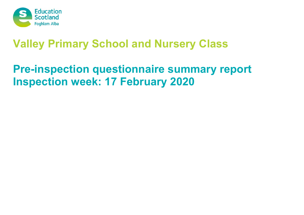

# **Valley Primary School and Nursery Class**

# **Pre-inspection questionnaire summary report Inspection week: 17 February 2020**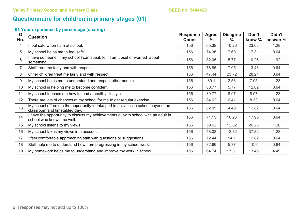# **Questionnaire for children in primary stages (01)**

| Q               | <b>Question</b>                                                                                                      | <b>Response</b> | <b>Agree</b>  | <b>Disagree</b> | Don't  | Didn't   |
|-----------------|----------------------------------------------------------------------------------------------------------------------|-----------------|---------------|-----------------|--------|----------|
| No.             |                                                                                                                      | Count           | $\frac{0}{0}$ | %               | know % | answer % |
| 4               | feel safe when I am at school.                                                                                       | 156             | 65.38         | 10.26           | 23.08  | 1.28     |
| 5               | My school helps me to feel safe.                                                                                     | 156             | 74.36         | 7.69            | 17.31  | 0.64     |
| 6               | I have someone in my school I can speak to if I am upset or worried about<br>something.                              | 156             | 82.05         | 5.77            | 10.26  | 1.92     |
| 7               | Staff treat me fairly and with respect.                                                                              | 156             | 78.85         | 7.05            | 13.46  | 0.64     |
| 8               | Other children treat me fairly and with respect.                                                                     | 156             | 47.44         | 23.72           | 28.21  | 0.64     |
| 9               | My school helps me to understand and respect other people.                                                           | 156             | 89.1          | 2.56            | 7.05   | 1.28     |
| 10 <sup>°</sup> | My school is helping me to become confident.                                                                         | 156             | 80.77         | 5.77            | 12.82  | 0.64     |
| 11              | My school teaches me how to lead a healthy lifestyle.                                                                | 156             | 80.77         | 8.97            | 8.97   | 1.28     |
| 12              | There are lots of chances at my school for me to get regular exercise.                                               | 156             | 84.62         | 6.41            | 8.33   | 0.64     |
| 13              | My school offers me the opportunity to take part in activities in school beyond the<br>classroom and timetabled day. | 156             | 82.05         | 4.49            | 12.82  | 0.64     |
| 14              | I have the opportunity to discuss my achievements outwith school with an adult in<br>school who knows me well.       | 156             | 71.15         | 10.26           | 17.95  | 0.64     |
| 15 <sub>1</sub> | My school listens to my views.                                                                                       | 156             | 59.62         | 12.82           | 26.28  | 1.28     |
| 16              | My school takes my views into account.                                                                               | 156             | 48.08         | 12.82           | 37.82  | 1.28     |
| 17              | I feel comfortable approaching staff with questions or suggestions.                                                  | 156             | 72.44         | 14.1            | 12.82  | 0.64     |
| 18              | Staff help me to understand how I am progressing in my school work.                                                  | 156             | 82.69         | 5.77            | 10.9   | 0.64     |
| 19              | My homework helps me to understand and improve my work in school.                                                    | 156             | 64.74         | 17.31           | 13.46  | 4.49     |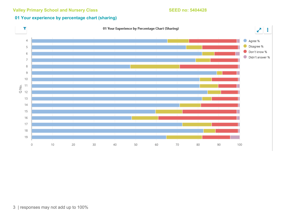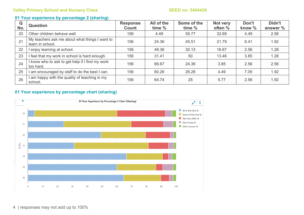### **01 Your experience by percentage 2 (sharing)**

| Q<br>No. | <b>Question</b>                                                    | <b>Response</b><br><b>Count</b> | All of the<br>time % | Some of the<br>time % | Not very<br>often % | Don't<br>know $\%$ | Didn't<br>answer % |
|----------|--------------------------------------------------------------------|---------------------------------|----------------------|-----------------------|---------------------|--------------------|--------------------|
| 20       | Other children behave well.                                        | 156                             | 4.49                 | 55.77                 | 32.69               | 4.49               | 2.56               |
| 21       | My teachers ask me about what things I want to<br>learn in school. | 156                             | 24.36                | 45.51                 | 21.79               | 6.41               | 1.92               |
| 22       | I enjoy learning at school.                                        | 156                             | 49.36                | 30.13                 | 16.67               | 2.56               | 1.28               |
| 23       | I feel that my work in school is hard enough.                      | 156                             | 31.41                | 50                    | 13.46               | 3.85               | 1.28               |
| 24       | I know who to ask to get help if I find my work<br>too hard.       | 156                             | 66.67                | 24.36                 | 3.85                | 2.56               | 2.56               |
| 25       | I am encouraged by staff to do the best I can.                     | 156                             | 60.26                | 26.28                 | 4.49                | 7.05               | 1.92               |
| 26       | am happy with the quality of teaching in my<br>school.             | 156                             | 64.74                | 25                    | 5.77                | 2.56               | 1.92               |

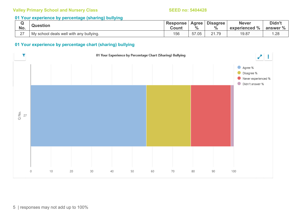#### **01 Your experience by percentage (sharing) bullying**

| No.                | <b>Question</b>                         | <b>Response</b><br>Count | Agree<br>$\frac{0}{0}$ | <b>Disagree</b><br>$\frac{0}{0}$ | <b>Never</b><br>$\frac{1}{6}$<br>experienced | Didn't<br>answer % |
|--------------------|-----------------------------------------|--------------------------|------------------------|----------------------------------|----------------------------------------------|--------------------|
| $\sim$<br><u>_</u> | My school deals well with any bullying. | 156                      | $- -$<br>.05<br>ັບ     | 21.79                            | 19.87                                        | .28                |

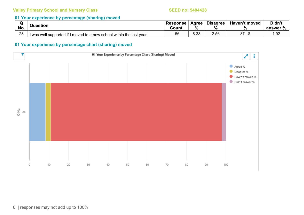#### **01 Your experience by percentage (sharing) moved**

| w<br>No. | Question                                                              | <b>Response</b><br>Count | Agree<br>$\frac{0}{0}$ | <b>Disagree</b><br>$\%$ | Haven't moved<br>$\frac{0}{0}$ | Didn't<br>$\Omega$<br>answer |
|----------|-----------------------------------------------------------------------|--------------------------|------------------------|-------------------------|--------------------------------|------------------------------|
| 28       | I was well supported if I moved to a new school within the last year. | 156                      | $\cap$<br>∪.∪∪         | 2.56                    | - 10                           | .92                          |

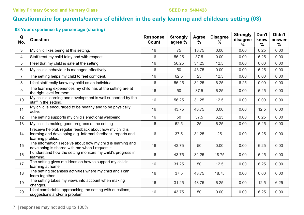# **Questionnaire for parents/carers of children in the early learning and childcare setting (03)**

| Q<br>No.       | <b>Question</b>                                                                                                                                | <b>Response</b><br>Count | <b>Strongly</b><br>agree % | Agree<br>% | <b>Disagree</b><br>% | <b>Strongly</b><br>disagree<br>℅ | Don't<br>know<br>$\frac{0}{0}$ | Didn't<br>answer<br>$\frac{0}{0}$ |
|----------------|------------------------------------------------------------------------------------------------------------------------------------------------|--------------------------|----------------------------|------------|----------------------|----------------------------------|--------------------------------|-----------------------------------|
| 3              | My child likes being at this setting.                                                                                                          | 16                       | 75                         | 18.75      | 0.00                 | 0.00                             | 6.25                           | 0.00                              |
| 4              | Staff treat my child fairly and with respect.                                                                                                  | 16                       | 56.25                      | 37.5       | 0.00                 | 0.00                             | 6.25                           | 0.00                              |
| 5              | I feel that my child is safe at the setting.                                                                                                   | 16                       | 56.25                      | 31.25      | 12.5                 | 0.00                             | 0.00                           | 0.00                              |
| 6              | My child's behaviour is managed effectively.                                                                                                   | 16                       | 50                         | 43.75      | 0.00                 | 0.00                             | 6.25                           | 0.00                              |
| $\overline{7}$ | The setting helps my child to feel confident.                                                                                                  | 16                       | 62.5                       | 25         | 12.5                 | 0.00                             | 0.00                           | 0.00                              |
| 8              | I feel staff really know my child as an individual.                                                                                            | 16                       | 56.25                      | 31.25      | 6.25                 | 6.25                             | 0.00                           | 0.00                              |
| 9              | The learning experiences my child has at the setting are at<br>the right level for them.                                                       | 16                       | 50                         | 37.5       | 6.25                 | 0.00                             | 6.25                           | 0.00                              |
| 10             | My child's learning and development is well supported by the<br>staff in the setting.                                                          | 16                       | 56.25                      | 31.25      | 12.5                 | 0.00                             | 0.00                           | 0.00                              |
| 11             | My child is encouraged to be healthy and to be physically<br>active.                                                                           | 16                       | 43.75                      | 43.75      | 0.00                 | 0.00                             | 12.5                           | 0.00                              |
| 12             | The setting supports my child's emotional wellbeing.                                                                                           | 16                       | 50                         | 37.5       | 6.25                 | 0.00                             | 6.25                           | 0.00                              |
| 13             | My child is making good progress at the setting.                                                                                               | 16                       | 62.5                       | 25         | 6.25                 | 0.00                             | 6.25                           | 0.00                              |
| 14             | I receive helpful, regular feedback about how my child is<br>learning and developing e.g. informal feedback, reports and<br>learning profiles. | 16                       | 37.5                       | 31.25      | 25                   | 0.00                             | 6.25                           | 0.00                              |
| 15             | The information I receive about how my child is learning and<br>developing is shared with me when I request it.                                | 16                       | 43.75                      | 50         | 0.00                 | 0.00                             | 6.25                           | 0.00                              |
| 16             | I understand how the setting monitors my child's progress in<br>learning.                                                                      | 16                       | 43.75                      | 31.25      | 18.75                | 0.00                             | 6.25                           | 0.00                              |
| 17             | The setting gives me ideas on how to support my child's<br>learning at home.                                                                   | 16                       | 31.25                      | 50         | 12.5                 | 0.00                             | 6.25                           | 0.00                              |
| 18             | The setting organises activities where my child and I can<br>learn together.                                                                   | 16                       | 37.5                       | 43.75      | 18.75                | 0.00                             | 0.00                           | 0.00                              |
| 19             | The setting takes my views into account when making<br>changes.                                                                                | 16                       | 31.25                      | 43.75      | 6.25                 | 0.00                             | 12.5                           | 6.25                              |
| 20             | I feel comfortable approaching the setting with questions,<br>suggestions and/or a problem.                                                    | 16                       | 43.75                      | 50         | 0.00                 | 0.00                             | 6.25                           | 0.00                              |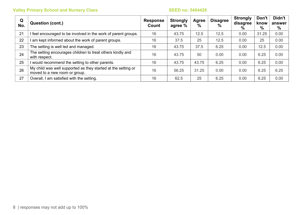| Q<br>No. | Question (cont.)                                                                               | <b>Response</b><br>Count | <b>Strongly</b><br>agree % | Agree<br>% | <b>Disagree</b><br>$\%$ | <b>Strongly</b><br>disagree<br>% | Don't<br>know<br>% | Didn't<br>answer<br>% |
|----------|------------------------------------------------------------------------------------------------|--------------------------|----------------------------|------------|-------------------------|----------------------------------|--------------------|-----------------------|
| 21       | feel encouraged to be involved in the work of parent groups.                                   | 16                       | 43.75                      | 12.5       | 12.5                    | 0.00                             | 31.25              | 0.00                  |
| 22       | am kept informed about the work of parent groups.                                              | 16                       | 37.5                       | 25         | 12.5                    | 0.00                             | 25                 | 0.00                  |
| 23       | The setting is well led and managed.                                                           | 16                       | 43.75                      | 37.5       | 6.25                    | 0.00                             | 12.5               | 0.00                  |
| 24       | The setting encourages children to treat others kindly and<br>with respect.                    | 16                       | 43.75                      | 50         | 0.00                    | 0.00                             | 6.25               | 0.00                  |
| 25       | would recommend the setting to other parents.                                                  | 16                       | 43.75                      | 43.75      | 6.25                    | 0.00                             | 6.25               | 0.00                  |
| 26       | My child was well supported as they started at the setting or<br>moved to a new room or group. | 16                       | 56.25                      | 31.25      | 0.00                    | 0.00                             | 6.25               | 6.25                  |
| 27       | Overall, I am satisfied with the setting.                                                      | 16                       | 62.5                       | 25         | 6.25                    | 0.00                             | 6.25               | 0.00                  |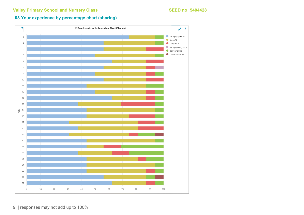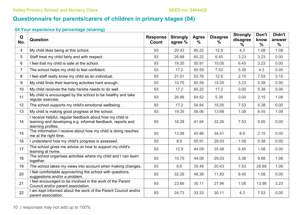# **Questionnaire for parents/carers of children in primary stages (04)**

| Q<br>No.       | Question                                                                                                                                       | <b>Response</b><br>Count | <b>Strongly</b><br>agree % | Agree<br>$\%$ | <b>Disagree</b><br>% | <b>Strongly</b><br>disagree<br>$\frac{0}{0}$ | Don't<br>know<br>$\frac{0}{0}$ | Didn't<br>answer<br>$\frac{0}{0}$ |
|----------------|------------------------------------------------------------------------------------------------------------------------------------------------|--------------------------|----------------------------|---------------|----------------------|----------------------------------------------|--------------------------------|-----------------------------------|
| 4              | My child likes being at this school.                                                                                                           | 93                       | 20.43                      | 60.22         | 12.9                 | 4.3                                          | 1.08                           | 1.08                              |
| 5              | Staff treat my child fairly and with respect.                                                                                                  | 93                       | 26.88                      | 60.22         | 6.45                 | 3.23                                         | 3.23                           | 0.00                              |
| 6              | I feel that my child is safe at the school.                                                                                                    | 93                       | 19.35                      | 55.91         | 15.05                | 6.45                                         | 3.23                           | 0.00                              |
| $\overline{7}$ | The school helps my child to feel confident.                                                                                                   | 93                       | 17.2                       | 65.59         | 7.53                 | 5.38                                         | 4.3                            | 0.00                              |
| 8              | I feel staff really know my child as an individual.                                                                                            | 93                       | 21.51                      | 53.76         | 12.9                 | 2.15                                         | 7.53                           | 2.15                              |
| 9              | My child finds their learning activities hard enough.                                                                                          | 93                       | 10.75                      | 65.59         | 15.05                | 3.23                                         | 5.38                           | 0.00                              |
| 10             | My child receives the help he/she needs to do well.                                                                                            | 93                       | 17.2                       | 60.22         | 17.2                 | 0.00                                         | 5.38                           | 0.00                              |
| 11             | My child is encouraged by the school to be healthy and take<br>regular exercise.                                                               | 93                       | 26.88                      | 64.52         | 5.38                 | 0.00                                         | 2.15                           | 1.08                              |
| 12             | The school supports my child's emotional wellbeing.                                                                                            | 93                       | 17.2                       | 54.84         | 15.05                | 7.53                                         | 5.38                           | 0.00                              |
| 13             | My child is making good progress at the school.                                                                                                | 93                       | 19.35                      | 58.06         | 13.98                | 1.08                                         | 6.45                           | 1.08                              |
| 14             | I receive helpful, regular feedback about how my child is<br>learning and developing e.g. informal feedback, reports and<br>learning profiles. | 93                       | 18.28                      | 41.94         | 32.26                | 7.53                                         | 0.00                           | 0.00                              |
| 15             | The information I receive about how my child is doing reaches<br>me at the right time.                                                         | 93                       | 13.98                      | 40.86         | 34.41                | 8.6                                          | 2.15                           | 0.00                              |
| 16             | I understand how my child's progress is assessed.                                                                                              | 93                       | 8.6                        | 55.91         | 29.03                | 1.08                                         | 5.38                           | 0.00                              |
| 17             | The school gives me advice on how to support my child's<br>learning at home.                                                                   | 93                       | 12.9                       | 44.09         | 35.48                | 6.45                                         | 1.08                           | 0.00                              |
| 18             | The school organises activities where my child and I can learn<br>together.                                                                    | 93                       | 10.75                      | 44.09         | 29.03                | 5.38                                         | 9.68                           | 1.08                              |
| 19             | The school takes my views into account when making changes.                                                                                    | 93                       | 8.6                        | 35.48         | 20.43                | 7.53                                         | 26.88                          | 1.08                              |
| 20             | I feel comfortable approaching the school with questions,<br>suggestions and/or a problem.                                                     | 93                       | 32.26                      | 48.39         | 11.83                | 6.45                                         | 1.08                           | 0.00                              |
| 21             | I feel encouraged to be involved in the work of the Parent<br>Council and/or parent association.                                               | 93                       | 23.66                      | 30.11         | 27.96                | 1.08                                         | 13.98                          | 3.23                              |
| 22             | I am kept informed about the work of the Parent Council and/or<br>parent association.                                                          | 93                       | 24.73                      | 33.33         | 30.11                | 4.3                                          | 7.53                           | 0.00                              |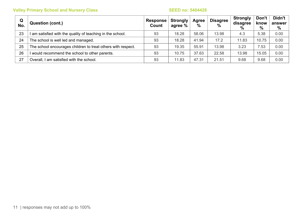| Q<br>No. | Question (cont.)                                             | <b>Response</b><br>Count | <b>Strongly</b><br>agree % | Agree<br>% | <b>Disagree</b><br>$\frac{9}{6}$ | Strongly<br>disagree<br>$\frac{0}{0}$ | Don't<br>know<br>% | Didn't<br>answer<br>% |
|----------|--------------------------------------------------------------|--------------------------|----------------------------|------------|----------------------------------|---------------------------------------|--------------------|-----------------------|
| 23       | am satisfied with the quality of teaching in the school.     | 93                       | 18.28                      | 58.06      | 13.98                            | 4.3                                   | 5.38               | 0.00                  |
| 24       | The school is well led and managed.                          | 93                       | 18.28                      | 41.94      | 17.2                             | 11.83                                 | 10.75              | 0.00                  |
| 25       | The school encourages children to treat others with respect. | 93                       | 19.35                      | 55.91      | 13.98                            | 3.23                                  | .53                | 0.00                  |
| 26       | would recommend the school to other parents.                 | 93                       | 10.75                      | 37.63      | 22.58                            | 13.98                                 | 15.05              | 0.00                  |
| 27       | Overall, I am satisfied with the school.                     | 93                       | 11.83                      | 47.31      | 21.51                            | 9.68                                  | 9.68               | 0.00                  |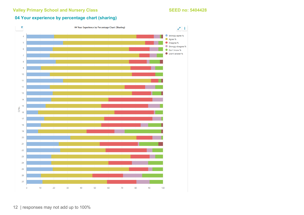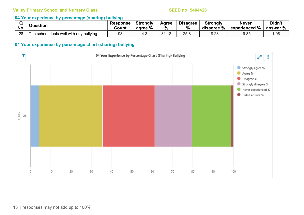#### **04 Your experience by percentage (sharing) bullying**

|     | Question                                 | <b>Response</b> | <b>Strongly</b> | Agree    | <b>Disagree</b> | <b>Strongly</b> | <b>Never</b>  | Didn't   |
|-----|------------------------------------------|-----------------|-----------------|----------|-----------------|-----------------|---------------|----------|
| No. |                                          | Count           | agree %         | %        | 70              | disagree %      | experienced % | answer % |
| 28  | The school deals well with any bullying. | 93              | 4.5             | ົາ<br>18 | 25.81           | 18.28           | 19.35         | .08      |

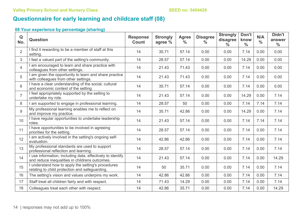# **Questionnaire for early learning and childcare staff (08)**

| Q<br>No.       | <b>Question</b>                                                                                              | <b>Response</b><br><b>Count</b> | <b>Strongly</b><br>agree % | <b>Agree</b><br>$\frac{0}{0}$ | <b>Disagree</b><br>$\frac{0}{0}$ | <b>Strongly</b><br>disagree<br>$\frac{0}{0}$ | Don't<br>know<br>$\frac{0}{0}$ | N/A<br>$\frac{0}{0}$ | Didn't<br>answer<br>$\frac{0}{0}$ |
|----------------|--------------------------------------------------------------------------------------------------------------|---------------------------------|----------------------------|-------------------------------|----------------------------------|----------------------------------------------|--------------------------------|----------------------|-----------------------------------|
| $\overline{2}$ | I find it rewarding to be a member of staff at this<br>setting.                                              | 14                              | 35.71                      | 57.14                         | 0.00                             | 0.00                                         | 7.14                           | 0.00                 | 0.00                              |
| 3              | I feel a valued part of the setting's community.                                                             | 14                              | 28.57                      | 57.14                         | 0.00                             | 0.00                                         | 14.29                          | 0.00                 | 0.00                              |
| $\overline{4}$ | am encouraged to learn and share practice with<br>colleagues from other settings.                            | 14                              | 21.43                      | 71.43                         | 0.00                             | 0.00                                         | 7.14                           | 0.00                 | 0.00                              |
| 5              | I am given the opportunity to learn and share practice<br>with colleagues from other settings.               | 14                              | 21.43                      | 71.43                         | 0.00                             | 0.00                                         | 7.14                           | 0.00                 | 0.00                              |
| 6              | I have a clear understanding of the social, cultural<br>and economic context of the setting.                 | 14                              | 35.71                      | 57.14                         | 0.00                             | 0.00                                         | 7.14                           | 0.00                 | 0.00                              |
| $\overline{7}$ | I feel appropriately supported by the setting to<br>undertake my role.                                       | 14                              | 21.43                      | 57.14                         | 0.00                             | 0.00                                         | 14.29                          | 0.00                 | 7.14                              |
| 8              | am supported to engage in professional learning.                                                             | 14                              | 28.57                      | 50                            | 0.00                             | 0.00                                         | 7.14                           | 7.14                 | 7.14                              |
| 9              | My professional learning enables me to reflect on<br>and improve my practice.                                | 14                              | 35.71                      | 42.86                         | 0.00                             | 0.00                                         | 14.29                          | 0.00                 | 7.14                              |
| 10             | I have regular opportunities to undertake leadership<br>roles.                                               | 14                              | 21.43                      | 57.14                         | 0.00                             | 0.00                                         | 7.14                           | 7.14                 | 7.14                              |
| 11             | I have opportunities to be involved in agreeing<br>priorities for the setting.                               | 14                              | 28.57                      | 57.14                         | 0.00                             | 0.00                                         | 7.14                           | 0.00                 | 7.14                              |
| 12             | I am actively involved in the setting's ongoing self-<br>evaluation.                                         | 14                              | 42.86                      | 42.86                         | 0.00                             | 0.00                                         | 7.14                           | 0.00                 | 7.14                              |
| 13             | My professional standards are used to support<br>professional reflection and learning.                       | 14                              | 28.57                      | 57.14                         | 0.00                             | 0.00                                         | 7.14                           | 0.00                 | 7.14                              |
| 14             | I use information, including data, effectively to identify<br>and reduce inequalities in childrens outcomes. | 14                              | 21.43                      | 57.14                         | 0.00                             | 0.00                                         | 7.14                           | 0.00                 | 14.29                             |
| 15             | understand how to apply the setting's procedures<br>relating to child protection and safeguarding.           | 14                              | 50                         | 35.71                         | 0.00                             | 0.00                                         | 7.14                           | 0.00                 | 7.14                              |
| 16             | The setting's vision and values underpins my work.                                                           | 14                              | 42.86                      | 42.86                         | 0.00                             | 0.00                                         | 7.14                           | 0.00                 | 7.14                              |
| 17             | Staff treat all children fairly and with respect.                                                            | 14                              | 71.43                      | 14.29                         | 0.00                             | 0.00                                         | 7.14                           | 0.00                 | 7.14                              |
| 18             | Colleagues treat each other with respect.                                                                    | 14                              | 42.86                      | 35.71                         | 0.00                             | 0.00                                         | 7.14                           | 0.00                 | 14.29                             |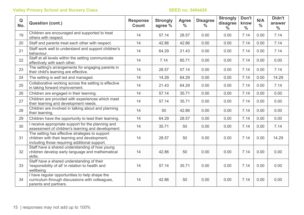| $\mathbf Q$<br>No. | <b>Question (cont.)</b>                                                                                                                           | <b>Response</b><br><b>Count</b> | <b>Strongly</b><br>agree % | <b>Agree</b><br>$\frac{0}{0}$ | <b>Disagree</b><br>$\frac{0}{0}$ | <b>Strongly</b><br>disagree<br>$\frac{0}{0}$ | Don't<br>know<br>$\frac{0}{0}$ | N/A<br>$\frac{0}{0}$ | Didn't<br>answer<br>$\frac{0}{0}$ |
|--------------------|---------------------------------------------------------------------------------------------------------------------------------------------------|---------------------------------|----------------------------|-------------------------------|----------------------------------|----------------------------------------------|--------------------------------|----------------------|-----------------------------------|
| 19                 | Children are encouraged and supported to treat<br>others with respect.                                                                            | 14                              | 57.14                      | 28.57                         | 0.00                             | 0.00                                         | 7.14                           | 0.00                 | 7.14                              |
| 20                 | Staff and parents treat each other with respect.                                                                                                  | 14                              | 42.86                      | 42.86                         | 0.00                             | 0.00                                         | 7.14                           | 0.00                 | 7.14                              |
| 21                 | Staff work well to understand and support children's<br>behaviour.                                                                                | 14                              | 64.29                      | 21.43                         | 0.00                             | 0.00                                         | 7.14                           | 0.00                 | 7.14                              |
| 22                 | Staff at all levels within the setting communicate<br>effectively with each other.                                                                | 14                              | 7.14                       | 85.71                         | 0.00                             | 0.00                                         | 7.14                           | 0.00                 | 0.00                              |
| 23                 | The setting's arrangements for engaging parents in<br>their child's learning are effective.                                                       | 14                              | 28.57                      | 57.14                         | 0.00                             | 0.00                                         | 7.14                           | 0.00                 | 7.14                              |
| 24                 | The setting is well led and managed.                                                                                                              | 14                              | 14.29                      | 64.29                         | 0.00                             | 0.00                                         | 7.14                           | 0.00                 | 14.29                             |
| 25                 | Collaborative working across the setting is effective<br>in taking forward improvement.                                                           | 14                              | 21.43                      | 64.29                         | 0.00                             | 0.00                                         | 7.14                           | 0.00                 | 7.14                              |
| 26                 | Children are engaged in their learning.                                                                                                           | 14                              | 57.14                      | 35.71                         | 0.00                             | 0.00                                         | 7.14                           | 0.00                 | 0.00                              |
| 27                 | Children are provided with experiences which meet<br>their learning and development needs.                                                        | 14                              | 57.14                      | 35.71                         | 0.00                             | 0.00                                         | 7.14                           | 0.00                 | 0.00                              |
| 28                 | Children are involved in talking about and planning<br>their learning.                                                                            | 14                              | 50                         | 42.86                         | 0.00                             | 0.00                                         | 7.14                           | 0.00                 | 0.00                              |
| 29                 | Children have the opportunity to lead their learning.                                                                                             | 14                              | 64.29                      | 28.57                         | 0.00                             | 0.00                                         | 7.14                           | 0.00                 | 0.00                              |
| 30                 | I receive appropriate support for the planning and<br>assessment of children's learning and development.                                          | 14                              | 35.71                      | 50                            | 0.00                             | 0.00                                         | 7.14                           | 0.00                 | 7.14                              |
| 31                 | The setting has effective strategies to support<br>children with their learning and development,<br>including those requiring additional support. | 14                              | 28.57                      | 50                            | 0.00                             | 0.00                                         | 7.14                           | 0.00                 | 14.29                             |
| 32                 | Staff have a shared understanding of how young<br>children develop early language and mathematical<br>skills.                                     | 14                              | 42.86                      | 50                            | 0.00                             | 0.00                                         | 7.14                           | 0.00                 | 0.00                              |
| 33                 | Staff have a shared understanding of their<br>'responsibility of all' in relation to health and<br>wellbeing.                                     | 14                              | 57.14                      | 35.71                         | 0.00                             | 0.00                                         | 7.14                           | 0.00                 | 0.00                              |
| 34                 | I have regular opportunities to help shape the<br>curriculum through discussions with colleagues,<br>parents and partners.                        | 14                              | 42.86                      | 50                            | 0.00                             | 0.00                                         | 7.14                           | 0.00                 | 0.00                              |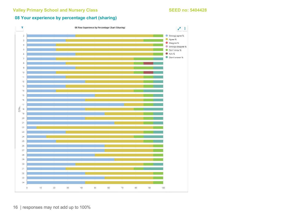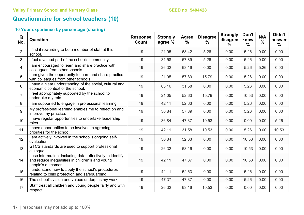# **Questionnaire for school teachers (10)**

| Q<br>No.        | <b>Question</b>                                                                                                                     | <b>Response</b><br><b>Count</b> | <b>Strongly</b><br>agree % | <b>Agree</b><br>% | <b>Disagree</b><br>% | <b>Strongly</b><br>disagree<br>$\%$ | Don't<br>know<br>$\frac{0}{0}$ | N/A<br>$\frac{0}{0}$ | Didn't<br>answer<br>$\frac{0}{0}$ |
|-----------------|-------------------------------------------------------------------------------------------------------------------------------------|---------------------------------|----------------------------|-------------------|----------------------|-------------------------------------|--------------------------------|----------------------|-----------------------------------|
| $\overline{2}$  | I find it rewarding to be a member of staff at this<br>school.                                                                      | 19                              | 21.05                      | 68.42             | 5.26                 | 0.00                                | 5.26                           | 0.00                 | 0.00                              |
| $\mathbf{3}$    | I feel a valued part of the school's community.                                                                                     | 19                              | 31.58                      | 57.89             | 5.26                 | 0.00                                | 5.26                           | 0.00                 | 0.00                              |
| $\overline{4}$  | I am encouraged to learn and share practice with<br>colleagues from other schools.                                                  | 19                              | 26.32                      | 63.16             | 0.00                 | 0.00                                | 5.26                           | 5.26                 | 0.00                              |
| 5               | I am given the opportunity to learn and share practice<br>with colleagues from other schools.                                       | 19                              | 21.05                      | 57.89             | 15.79                | 0.00                                | 5.26                           | 0.00                 | 0.00                              |
| 6               | I have a clear understanding of the social, cultural and<br>economic context of the school.                                         | 19                              | 63.16                      | 31.58             | 0.00                 | 0.00                                | 5.26                           | 0.00                 | 0.00                              |
| $\overline{7}$  | I feel appropriately supported by the school to<br>undertake my role.                                                               | 19                              | 21.05                      | 52.63             | 15.79                | 0.00                                | 10.53                          | 0.00                 | 0.00                              |
| 8               | I am supported to engage in professional learning.                                                                                  | 19                              | 42.11                      | 52.63             | 0.00                 | 0.00                                | 5.26                           | 0.00                 | 0.00                              |
| 9               | My professional learning enables me to reflect on and<br>improve my practice.                                                       | 19                              | 36.84                      | 57.89             | 0.00                 | 0.00                                | 5.26                           | 0.00                 | 0.00                              |
| 10 <sup>°</sup> | I have regular opportunities to undertake leadership<br>roles.                                                                      | 19                              | 36.84                      | 47.37             | 10.53                | 0.00                                | 0.00                           | 0.00                 | 5.26                              |
| 11              | I have opportunities to be involved in agreeing<br>priorities for the school.                                                       | 19                              | 42.11                      | 31.58             | 10.53                | 0.00                                | 5.26                           | 0.00                 | 10.53                             |
| 12              | I am actively involved in the school's ongoing self-<br>evaluation.                                                                 | 19                              | 36.84                      | 52.63             | 0.00                 | 0.00                                | 10.53                          | 0.00                 | 0.00                              |
| 13              | GTCS standards are used to support professional<br>dialogue.                                                                        | 19                              | 26.32                      | 63.16             | 0.00                 | 0.00                                | 10.53                          | 0.00                 | 0.00                              |
| 14              | I use information, including data, effectively to identify<br>and reduce inequalities in children's and young<br>people's outcomes. | 19                              | 42.11                      | 47.37             | 0.00                 | 0.00                                | 10.53                          | 0.00                 | 0.00                              |
| 15              | I understand how to apply the school's procedures<br>relating to child protection and safeguarding.                                 | 19                              | 42.11                      | 52.63             | 0.00                 | 0.00                                | 5.26                           | 0.00                 | 0.00                              |
| 16              | The school's vision and values underpins my work.                                                                                   | 19                              | 47.37                      | 47.37             | 0.00                 | 0.00                                | 5.26                           | 0.00                 | 0.00                              |
| 17              | Staff treat all children and young people fairly and with<br>respect.                                                               | 19                              | 26.32                      | 63.16             | 10.53                | 0.00                                | 0.00                           | 0.00                 | 0.00                              |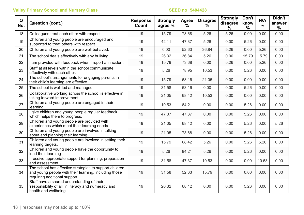| Q<br>No. | <b>Question (cont.)</b>                                                                                                                           | <b>Response</b><br>Count | <b>Strongly</b><br>agree % | Agree<br>$\frac{0}{0}$ | <b>Disagree</b><br>$\%$ | <b>Strongly</b><br>disagree<br>$\%$ | Don't<br>know<br>$\frac{0}{0}$ | N/A<br>$\frac{0}{0}$ | Didn't<br>answer<br>$\%$ |
|----------|---------------------------------------------------------------------------------------------------------------------------------------------------|--------------------------|----------------------------|------------------------|-------------------------|-------------------------------------|--------------------------------|----------------------|--------------------------|
| 18       | Colleagues treat each other with respect.                                                                                                         | 19                       | 15.79                      | 73.68                  | 5.26                    | 5.26                                | 0.00                           | 0.00                 | 0.00                     |
| 19       | Children and young people are encouraged and<br>supported to treat others with respect.                                                           | 19                       | 42.11                      | 47.37                  | 5.26                    | 0.00                                | 5.26                           | 0.00                 | 0.00                     |
| 20       | Children and young people are well behaved.                                                                                                       | 19                       | 0.00                       | 52.63                  | 36.84                   | 5.26                                | 0.00                           | 5.26                 | 0.00                     |
| 21       | The school deals effectively with any bullying.                                                                                                   | 19                       | 26.32                      | 36.84                  | 5.26                    | 0.00                                | 15.79                          | 15.79                | 0.00                     |
| 22       | I am provided with feedback when I report an incident.                                                                                            | 19                       | 15.79                      | 73.68                  | 0.00                    | 5.26                                | 0.00                           | 5.26                 | 0.00                     |
| 23       | Staff at all levels within the school communicate<br>effectively with each other.                                                                 | 19                       | 5.26                       | 78.95                  | 10.53                   | 0.00                                | 5.26                           | 0.00                 | 0.00                     |
| 24       | The school's arrangements for engaging parents in<br>their child's learning are effective.                                                        | 19                       | 15.79                      | 63.16                  | 21.05                   | 0.00                                | 0.00                           | 0.00                 | 0.00                     |
| 25       | The school is well led and managed.                                                                                                               | 19                       | 31.58                      | 63.16                  | 0.00                    | 0.00                                | 5.26                           | 0.00                 | 0.00                     |
| 26       | Collaborative working across the school is effective in<br>taking forward improvement.                                                            | 19                       | 21.05                      | 68.42                  | 10.53                   | 0.00                                | 0.00                           | 0.00                 | 0.00                     |
| 27       | Children and young people are engaged in their<br>learning.                                                                                       | 19                       | 10.53                      | 84.21                  | 0.00                    | 0.00                                | 5.26                           | 0.00                 | 0.00                     |
| 28       | I give children and young people regular feedback<br>which helps them to progress.                                                                | 19                       | 47.37                      | 47.37                  | 0.00                    | 0.00                                | 5.26                           | 0.00                 | 0.00                     |
| 29       | Children and young people are provided with<br>experiences which meet their learning needs.                                                       | 19                       | 21.05                      | 68.42                  | 0.00                    | 0.00                                | 5.26                           | 0.00                 | 5.26                     |
| 30       | Children and young people are involved in talking<br>about and planning their learning.                                                           | 19                       | 21.05                      | 73.68                  | 0.00                    | 0.00                                | 5.26                           | 0.00                 | 0.00                     |
| 31       | Children and young people are involved in setting their<br>learning targets.                                                                      | 19                       | 15.79                      | 68.42                  | 5.26                    | 0.00                                | 5.26                           | 5.26                 | 0.00                     |
| 32       | Children and young people have the opportunity to<br>lead their learning.                                                                         | 19                       | 5.26                       | 84.21                  | 5.26                    | 0.00                                | 5.26                           | 0.00                 | 0.00                     |
| 33       | I receive appropriate support for planning, preparation<br>and assessment.                                                                        | 19                       | 31.58                      | 47.37                  | 10.53                   | 0.00                                | 0.00                           | 10.53                | 0.00                     |
| 34       | The school has effective strategies to support children<br>and young people with their learning, including those<br>requiring additional support. | 19                       | 31.58                      | 52.63                  | 15.79                   | 0.00                                | 0.00                           | 0.00                 | 0.00                     |
| 35       | Staff have a shared understanding of their<br>'responsibility of all' in literacy and numeracy and<br>health and wellbeing.                       | 19                       | 26.32                      | 68.42                  | 0.00                    | 0.00                                | 5.26                           | 0.00                 | 0.00                     |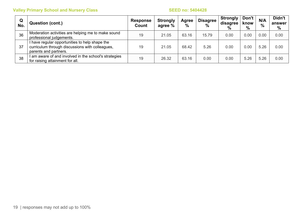| Q<br>No. | <b>Question (cont.)</b>                                                                                                  | <b>Response</b><br>Count | <b>Strongly</b><br>agree % | <b>Agree</b><br>$\frac{0}{0}$ | <b>Disagree</b><br>$\frac{0}{0}$ | <b>Strongly</b><br>disagree<br>$\%$ | Don't<br>know<br>$\%$ | N/A<br>$\frac{0}{0}$ | Didn't<br>answer<br>% |
|----------|--------------------------------------------------------------------------------------------------------------------------|--------------------------|----------------------------|-------------------------------|----------------------------------|-------------------------------------|-----------------------|----------------------|-----------------------|
| 36       | Moderation activities are helping me to make sound<br>professional judgements.                                           | 19                       | 21.05                      | 63.16                         | 15.79                            | 0.00                                | 0.00                  | 0.00                 | 0.00                  |
| 37       | have regular opportunities to help shape the<br>curriculum through discussions with colleagues,<br>parents and partners. | 19                       | 21.05                      | 68.42                         | 5.26                             | 0.00                                | 0.00                  | 5.26                 | 0.00                  |
| 38       | I am aware of and involved in the school's strategies<br>for raising attainment for all.                                 | 19                       | 26.32                      | 63.16                         | 0.00                             | 0.00                                | 5.26                  | 5.26                 | 0.00                  |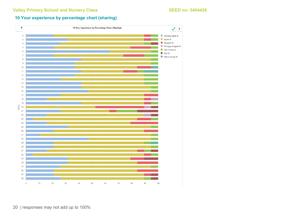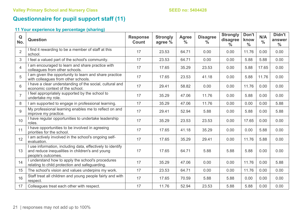# **Questionnaire for pupil support staff (11)**

| Q<br>No.                 | <b>Question</b>                                                                                                                     | <b>Response</b><br>Count | <b>Strongly</b><br>agree % | <b>Agree</b><br>$\frac{0}{0}$ | <b>Disagree</b><br>$\%$ | <b>Strongly</b><br>disagree<br>$\frac{0}{0}$ | Don't<br>know<br>$\frac{0}{0}$ | N/A<br>$\frac{0}{0}$ | Didn't<br>answer<br>$\frac{0}{0}$ |
|--------------------------|-------------------------------------------------------------------------------------------------------------------------------------|--------------------------|----------------------------|-------------------------------|-------------------------|----------------------------------------------|--------------------------------|----------------------|-----------------------------------|
| $\overline{2}$           | I find it rewarding to be a member of staff at this<br>school.                                                                      | 17                       | 23.53                      | 64.71                         | 0.00                    | 0.00                                         | 11.76                          | 0.00                 | 0.00                              |
|                          | I feel a valued part of the school's community.                                                                                     | 17                       | 23.53                      | 64.71                         | 0.00                    | 0.00                                         | 5.88                           | 5.88                 | 0.00                              |
| $\overline{\mathcal{A}}$ | I am encouraged to learn and share practice with<br>colleagues from other schools.                                                  | 17                       | 17.65                      | 35.29                         | 23.53                   | 0.00                                         | 5.88                           | 17.65                | 0.00                              |
| 5                        | I am given the opportunity to learn and share practice<br>with colleagues from other schools.                                       | 17                       | 17.65                      | 23.53                         | 41.18                   | 0.00                                         | 5.88                           | 11.76                | 0.00                              |
| 6                        | I have a clear understanding of the social, cultural and<br>economic context of the school.                                         | 17                       | 29.41                      | 58.82                         | 0.00                    | 0.00                                         | 11.76                          | 0.00                 | 0.00                              |
| $\overline{7}$           | I feel appropriately supported by the school to<br>undertake my role.                                                               | 17                       | 35.29                      | 47.06                         | 11.76                   | 0.00                                         | 5.88                           | 0.00                 | 0.00                              |
| 8                        | I am supported to engage in professional learning.                                                                                  | 17                       | 35.29                      | 47.06                         | 11.76                   | 0.00                                         | 0.00                           | 0.00                 | 5.88                              |
| 9                        | My professional learning enables me to reflect on and<br>improve my practice.                                                       | 17                       | 29.41                      | 52.94                         | 5.88                    | 0.00                                         | 5.88                           | 0.00                 | 5.88                              |
| 10 <sup>°</sup>          | I have regular opportunities to undertake leadership<br>roles.                                                                      | 17                       | 35.29                      | 23.53                         | 23.53                   | 0.00                                         | 17.65                          | 0.00                 | 0.00                              |
| 11                       | I have opportunities to be involved in agreeing<br>priorities for the school.                                                       | 17                       | 17.65                      | 41.18                         | 35.29                   | 0.00                                         | 0.00                           | 5.88                 | 0.00                              |
| 12                       | I am actively involved in the school's ongoing self-<br>evaluation.                                                                 | 17                       | 17.65                      | 35.29                         | 29.41                   | 0.00                                         | 11.76                          | 5.88                 | 0.00                              |
| 13                       | I use information, including data, effectively to identify<br>and reduce inequalities in children's and young<br>people's outcomes. | 17                       | 17.65                      | 64.71                         | 5.88                    | 5.88                                         | 5.88                           | 0.00                 | 0.00                              |
| 14                       | I understand how to apply the school's procedures<br>relating to child protection and safeguarding.                                 | 17                       | 35.29                      | 47.06                         | 0.00                    | 0.00                                         | 11.76                          | 0.00                 | 5.88                              |
| 15                       | The school's vision and values underpins my work.                                                                                   | 17                       | 23.53                      | 64.71                         | 0.00                    | 0.00                                         | 11.76                          | 0.00                 | 0.00                              |
| 16                       | Staff treat all children and young people fairly and with<br>respect.                                                               | 17                       | 17.65                      | 70.59                         | 5.88                    | 5.88                                         | 0.00                           | 0.00                 | 0.00                              |
| 17                       | Colleagues treat each other with respect.                                                                                           | 17                       | 11.76                      | 52.94                         | 23.53                   | 5.88                                         | 5.88                           | 0.00                 | 0.00                              |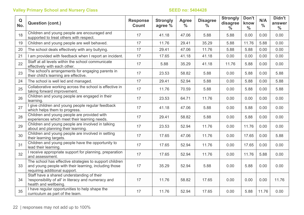| Q<br>No. | <b>Question (cont.)</b>                                                                                                                           | <b>Response</b><br><b>Count</b> | <b>Strongly</b><br>agree % | <b>Agree</b><br>$\frac{0}{0}$ | <b>Disagree</b><br>$\frac{0}{0}$ | <b>Strongly</b><br>disagree<br>$\frac{0}{0}$ | Don't<br>know<br>$\frac{0}{0}$ | N/A<br>$\frac{0}{0}$ | Didn't<br>answer<br>$\frac{0}{0}$ |
|----------|---------------------------------------------------------------------------------------------------------------------------------------------------|---------------------------------|----------------------------|-------------------------------|----------------------------------|----------------------------------------------|--------------------------------|----------------------|-----------------------------------|
| 18       | Children and young people are encouraged and<br>supported to treat others with respect.                                                           | 17                              | 41.18                      | 47.06                         | 5.88                             | 5.88                                         | 0.00                           | 0.00                 | 0.00                              |
| 19       | Children and young people are well behaved.                                                                                                       | 17                              | 11.76                      | 29.41                         | 35.29                            | 5.88                                         | 11.76                          | 5.88                 | 0.00                              |
| 20       | The school deals effectively with any bullying.                                                                                                   | 17                              | 29.41                      | 47.06                         | 11.76                            | 5.88                                         | 5.88                           | 0.00                 | 0.00                              |
| 21       | I am provided with feedback when I report an incident.                                                                                            | 17                              | 17.65                      | 41.18                         | 41.18                            | 0.00                                         | 0.00                           | 0.00                 | 0.00                              |
| 22       | Staff at all levels within the school communicate<br>effectively with each other.                                                                 | 17                              | 5.88                       | 35.29                         | 41.18                            | 11.76                                        | 5.88                           | 0.00                 | 0.00                              |
| 23       | The school's arrangements for engaging parents in<br>their child's learning are effective.                                                        | 17                              | 23.53                      | 58.82                         | 5.88                             | 0.00                                         | 5.88                           | 0.00                 | 5.88                              |
| 24       | The school is well led and managed.                                                                                                               | 17                              | 29.41                      | 52.94                         | 5.88                             | 0.00                                         | 5.88                           | 0.00                 | 5.88                              |
| 25       | Collaborative working across the school is effective in<br>taking forward improvement.                                                            | 17                              | 11.76                      | 70.59                         | 5.88                             | 0.00                                         | 5.88                           | 0.00                 | 5.88                              |
| 26       | Children and young people are engaged in their<br>learning.                                                                                       | 17                              | 23.53                      | 64.71                         | 11.76                            | 0.00                                         | 0.00                           | 0.00                 | 0.00                              |
| 27       | I give children and young people regular feedback<br>which helps them to progress.                                                                | 17                              | 41.18                      | 47.06                         | 5.88                             | 0.00                                         | 5.88                           | 0.00                 | 0.00                              |
| 28       | Children and young people are provided with<br>experiences which meet their learning needs.                                                       | 17                              | 29.41                      | 58.82                         | 5.88                             | 0.00                                         | 5.88                           | 0.00                 | 0.00                              |
| 29       | Children and young people are involved in talking<br>about and planning their learning.                                                           | 17                              | 23.53                      | 52.94                         | 11.76                            | 0.00                                         | 11.76                          | 0.00                 | 0.00                              |
| 30       | Children and young people are involved in setting<br>their learning targets.                                                                      | 17                              | 17.65                      | 47.06                         | 11.76                            | 0.00                                         | 17.65                          | 0.00                 | 5.88                              |
| 31       | Children and young people have the opportunity to<br>lead their learning.                                                                         | 17                              | 17.65                      | 52.94                         | 11.76                            | 0.00                                         | 17.65                          | 0.00                 | 0.00                              |
| 32       | I receive appropriate support for planning, preparation<br>and assessment.                                                                        | 17                              | 17.65                      | 52.94                         | 11.76                            | 0.00                                         | 11.76                          | 5.88                 | 0.00                              |
| 33       | The school has effective strategies to support children<br>and young people with their learning, including those<br>requiring additional support. | 17                              | 35.29                      | 52.94                         | 5.88                             | 0.00                                         | 5.88                           | 0.00                 | 0.00                              |
| 34       | Staff have a shared understanding of their<br>'responsibility of all' in literacy and numeracy and<br>health and wellbeing.                       | 17                              | 11.76                      | 58.82                         | 17.65                            | 0.00                                         | 0.00                           | 0.00                 | 11.76                             |
| 35       | I have regular opportunities to help shape the<br>curriculum as part of the team.                                                                 | 17                              | 11.76                      | 52.94                         | 17.65                            | 0.00                                         | 5.88                           | 11.76                | 0.00                              |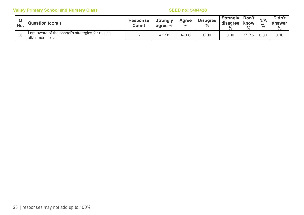| No. | <b>Question (cont.)</b>                                                  | <b>Response</b><br><b>Count</b> | <b>Strongly</b><br>agree % | <b>Agree</b><br>$\frac{0}{0}$ | <b>Disagree</b><br>$\frac{0}{0}$ | <b>Strongly</b><br>disagree<br>$\%$ | Don't<br>know<br>$\%$ | N/A<br>$\frac{0}{0}$ | Didn't<br>answer<br>$\frac{0}{0}$ |
|-----|--------------------------------------------------------------------------|---------------------------------|----------------------------|-------------------------------|----------------------------------|-------------------------------------|-----------------------|----------------------|-----------------------------------|
| 36  | I am aware of the school's strategies for raising<br>attainment for all. |                                 | 41.18                      | 47.06                         | 0.00                             | 0.00                                | .76                   | 0.00                 | 0.00                              |